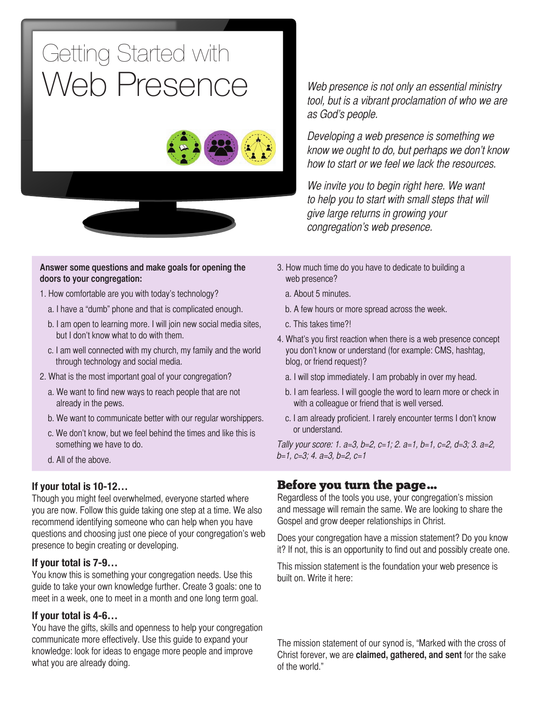### Getting Started with Web Presence





#### **Answer some questions and make goals for opening the doors to your congregation:**

- 1. How comfortable are you with today's technology?
	- a. I have a "dumb" phone and that is complicated enough.
	- b. I am open to learning more. I will join new social media sites, but I don't know what to do with them.
	- c. I am well connected with my church, my family and the world through technology and social media.
- 2. What is the most important goal of your congregation?
	- a. We want to find new ways to reach people that are not already in the pews.
	- b. We want to communicate better with our regular worshippers.
	- c. We don't know, but we feel behind the times and like this is something we have to do.
	- d. All of the above.

### **If your total is 10-12…**

Though you might feel overwhelmed, everyone started where you are now. Follow this guide taking one step at a time. We also recommend identifying someone who can help when you have questions and choosing just one piece of your congregation's web presence to begin creating or developing.

### **If your total is 7-9…**

You know this is something your congregation needs. Use this guide to take your own knowledge further. Create 3 goals: one to meet in a week, one to meet in a month and one long term goal.

### **If your total is 4-6…**

You have the gifts, skills and openness to help your congregation communicate more effectively. Use this guide to expand your knowledge: look for ideas to engage more people and improve what you are already doing.

Web presence is not only an essential ministry tool, but is a vibrant proclamation of who we are as God's people.

Developing a web presence is something we know we ought to do, but perhaps we don't know how to start or we feel we lack the resources.

We invite you to begin right here. We want to help you to start with small steps that will give large returns in growing your congregation's web presence.

- 3. How much time do you have to dedicate to building a web presence?
	- a. About 5 minutes.
	- b. A few hours or more spread across the week.
	- c. This takes time?!
- 4. What's you first reaction when there is a web presence concept you don't know or understand (for example: CMS, hashtag, blog, or friend request)?
	- a. I will stop immediately. I am probably in over my head.
	- b. I am fearless. I will google the word to learn more or check in with a colleague or friend that is well versed.
	- c. I am already proficient. I rarely encounter terms I don't know or understand.

Tally your score: 1. a=3, b=2, c=1; 2. a=1, b=1, c=2, d=3; 3. a=2, b=1, c=3; 4. a=3, b=2, c=1

### Before you turn the page…

Regardless of the tools you use, your congregation's mission and message will remain the same. We are looking to share the Gospel and grow deeper relationships in Christ.

Does your congregation have a mission statement? Do you know it? If not, this is an opportunity to find out and possibly create one.

This mission statement is the foundation your web presence is built on. Write it here:

The mission statement of our synod is, "Marked with the cross of Christ forever, we are **claimed, gathered, and sent** for the sake of the world."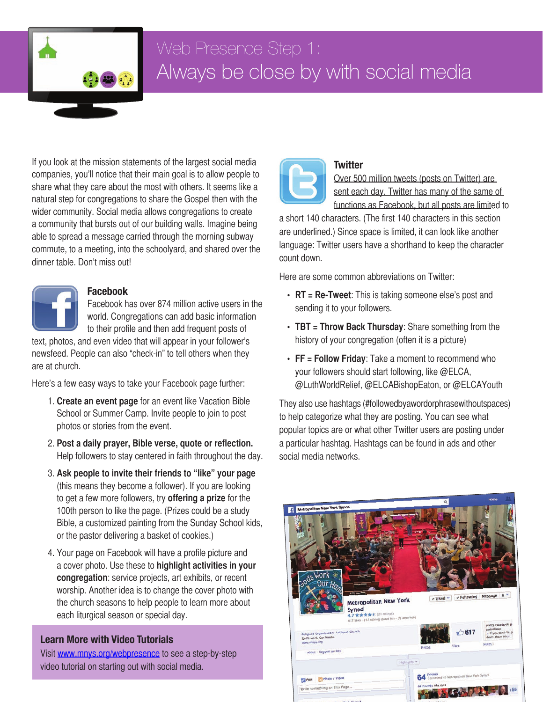

# Always be close by with social media

If you look at the mission statements of the largest social media companies, you'll notice that their main goal is to allow people to share what they care about the most with others. It seems like a natural step for congregations to share the Gospel then with the wider community. Social media allows congregations to create a community that bursts out of our building walls. Imagine being able to spread a message carried through the morning subway commute, to a meeting, into the schoolyard, and shared over the dinner table. Don't miss out!



### **Facebook**

Facebook has over 874 million active users in the world. Congregations can add basic information to their profile and then add frequent posts of

text, photos, and even video that will appear in your follower's newsfeed. People can also "check-in" to tell others when they are at church.

Here's a few easy ways to take your Facebook page further:

- 1. **Create an event page** for an event like Vacation Bible School or Summer Camp. Invite people to join to post photos or stories from the event.
- 2. **Post a daily prayer, Bible verse, quote or reflection.**  Help followers to stay centered in faith throughout the day.
- 3. **Ask people to invite their friends to "like" your page** (this means they become a follower). If you are looking to get a few more followers, try **offering a prize** for the 100th person to like the page. (Prizes could be a study Bible, a customized painting from the Sunday School kids, or the pastor delivering a basket of cookies.)
- 4. Your page on Facebook will have a profile picture and a cover photo. Use these to **highlight activities in your congregation**: service projects, art exhibits, or recent worship. Another idea is to change the cover photo with the church seasons to help people to learn more about each liturgical season or special day.

### **Learn More with Video Tutorials**

Visit [www.mnys.org](http://www.mnys.org/webpresence)/webpresence to see a step-by-step video tutorial on starting out with social media.



### **Twitter**

Over 500 million tweets (posts on Twitter) are sent each day. Twitter has many of the same of functions as Facebook, but all posts are limited to

a short 140 characters. (The first 140 characters in this section are underlined.) Since space is limited, it can look like another language: Twitter users have a shorthand to keep the character count down.

Here are some common abbreviations on Twitter:

- **• RT = Re-Tweet**: This is taking someone else's post and sending it to your followers.
- **• TBT = Throw Back Thursday**: Share something from the history of your congregation (often it is a picture)
- **• FF = Follow Friday**: Take a moment to recommend who your followers should start following, like @ELCA, @LuthWorldRelief, @ELCABishopEaton, or @ELCAYouth

They also use hashtags (#followedbyawordorphrasewithoutspaces) to help categorize what they are posting. You can see what popular topics are or what other Twitter users are posting under a particular hashtag. Hashtags can be found in ads and other social media networks.

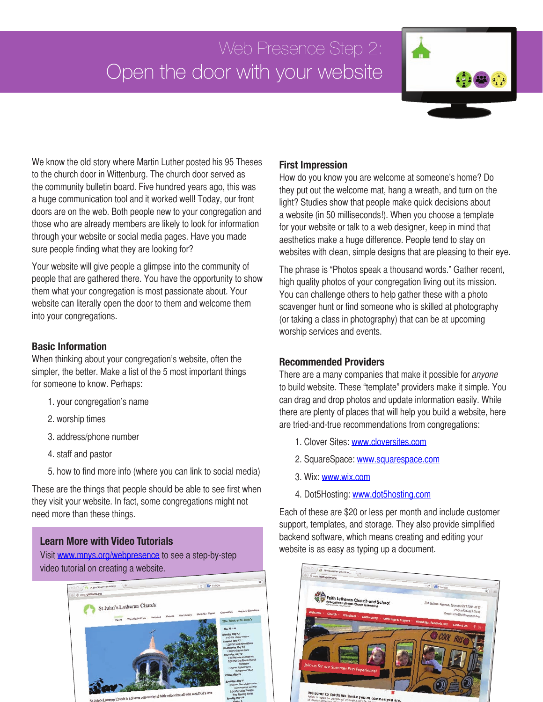# Open the door with your website



We know the old story where Martin Luther posted his 95 Theses to the church door in Wittenburg. The church door served as the community bulletin board. Five hundred years ago, this was a huge communication tool and it worked well! Today, our front doors are on the web. Both people new to your congregation and those who are already members are likely to look for information through your website or social media pages. Have you made sure people finding what they are looking for?

Your website will give people a glimpse into the community of people that are gathered there. You have the opportunity to show them what your congregation is most passionate about. Your website can literally open the door to them and welcome them into your congregations.

### **Basic Information**

When thinking about your congregation's website, often the simpler, the better. Make a list of the 5 most important things for someone to know. Perhaps:

- 1. your congregation's name
- 2. worship times
- 3. address/phone number
- 4. staff and pastor
- 5. how to find more info (where you can link to social media)

These are the things that people should be able to see first when they visit your website. In fact, some congregations might not need more than these things.

### **Learn More with Video Tutorials**

Visit [www.mnys.org/](http://www.mnys.org/webpresence)webpresence to see a step-by-step video tutorial on creating a website.



### **First Impression**

How do you know you are welcome at someone's home? Do they put out the welcome mat, hang a wreath, and turn on the light? Studies show that people make quick decisions about a website (in 50 milliseconds!). When you choose a template for your website or talk to a web designer, keep in mind that aesthetics make a huge difference. People tend to stay on websites with clean, simple designs that are pleasing to their eye.

The phrase is "Photos speak a thousand words." Gather recent, high quality photos of your congregation living out its mission. You can challenge others to help gather these with a photo scavenger hunt or find someone who is skilled at photography (or taking a class in photography) that can be at upcoming worship services and events.

### **Recommended Providers**

There are a many companies that make it possible for *anyone* to build website. These "template" providers make it simple. You can drag and drop photos and update information easily. While there are plenty of places that will help you build a website, here are tried-and-true recommendations from congregations:

- 1. Clover Sites: [www.cloversites.com](http://www.cloversites.com)
- 2. SquareSpace: [www.squarespace.com](http://www.squarespace.com)
- 3. Wix: [www.wix.com](http://www.wix.com)
- 4. Dot5Hosting: [www.dot5hosting.com](http://www.dot5hosting.com)

Each of these are \$20 or less per month and include customer support, templates, and storage. They also provide simplified backend software, which means creating and editing your website is as easy as typing up a document.